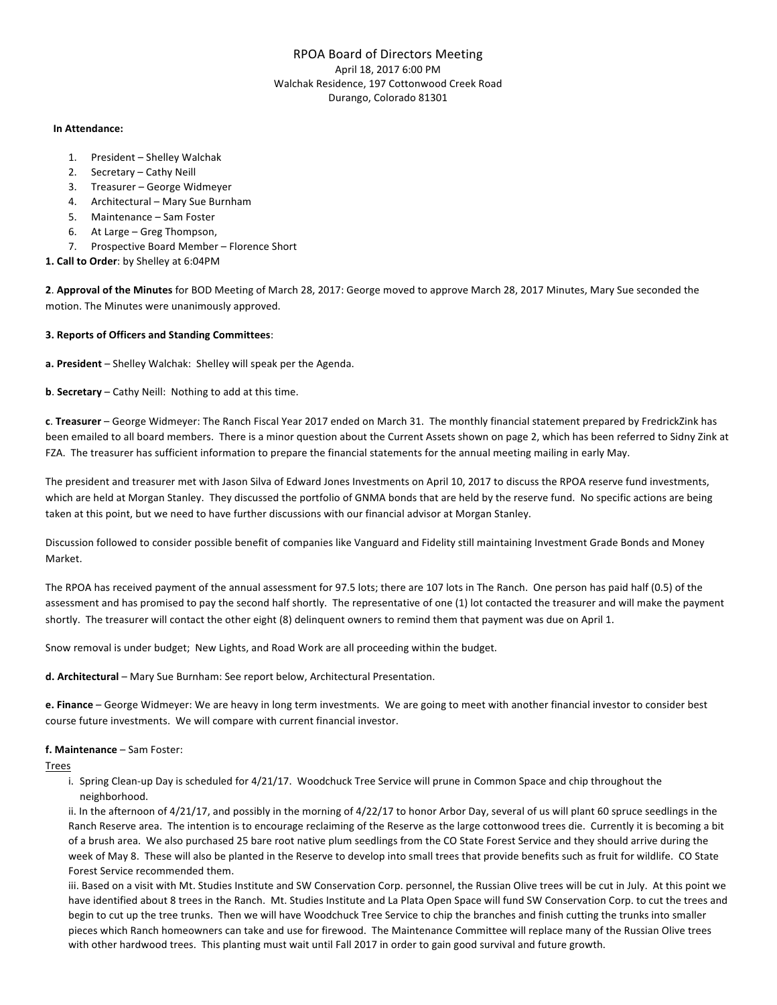# RPOA Board of Directors Meeting April 18, 2017 6:00 PM Walchak Residence, 197 Cottonwood Creek Road Durango, Colorado 81301

#### **In Attendance:**

- 1. President Shelley Walchak
- 2. Secretary Cathy Neill
- 3. Treasurer George Widmeyer
- 4. Architectural Mary Sue Burnham
- 5. Maintenance Sam Foster
- 6. At Large Greg Thompson,
- 7. Prospective Board Member Florence Short

## 1. Call to Order: by Shelley at 6:04PM

2. Approval of the Minutes for BOD Meeting of March 28, 2017: George moved to approve March 28, 2017 Minutes, Mary Sue seconded the motion. The Minutes were unanimously approved.

## **3. Reports of Officers and Standing Committees**:

a. President - Shelley Walchak: Shelley will speak per the Agenda.

**b. Secretary** – Cathy Neill: Nothing to add at this time.

**c**. Treasurer – George Widmeyer: The Ranch Fiscal Year 2017 ended on March 31. The monthly financial statement prepared by FredrickZink has been emailed to all board members. There is a minor question about the Current Assets shown on page 2, which has been referred to Sidny Zink at FZA. The treasurer has sufficient information to prepare the financial statements for the annual meeting mailing in early May.

The president and treasurer met with Jason Silva of Edward Jones Investments on April 10, 2017 to discuss the RPOA reserve fund investments, which are held at Morgan Stanley. They discussed the portfolio of GNMA bonds that are held by the reserve fund. No specific actions are being taken at this point, but we need to have further discussions with our financial advisor at Morgan Stanley.

Discussion followed to consider possible benefit of companies like Vanguard and Fidelity still maintaining Investment Grade Bonds and Money Market.

The RPOA has received payment of the annual assessment for 97.5 lots; there are 107 lots in The Ranch. One person has paid half (0.5) of the assessment and has promised to pay the second half shortly. The representative of one (1) lot contacted the treasurer and will make the payment shortly. The treasurer will contact the other eight (8) delinquent owners to remind them that payment was due on April 1.

Snow removal is under budget; New Lights, and Road Work are all proceeding within the budget.

**d.** Architectural – Mary Sue Burnham: See report below, Architectural Presentation.

e. Finance – George Widmeyer: We are heavy in long term investments. We are going to meet with another financial investor to consider best course future investments. We will compare with current financial investor.

## **f. Maintenance** – Sam Foster:

Trees

i. Spring Clean-up Day is scheduled for 4/21/17. Woodchuck Tree Service will prune in Common Space and chip throughout the neighborhood. 

ii. In the afternoon of 4/21/17, and possibly in the morning of 4/22/17 to honor Arbor Day, several of us will plant 60 spruce seedlings in the Ranch Reserve area. The intention is to encourage reclaiming of the Reserve as the large cottonwood trees die. Currently it is becoming a bit of a brush area. We also purchased 25 bare root native plum seedlings from the CO State Forest Service and they should arrive during the week of May 8. These will also be planted in the Reserve to develop into small trees that provide benefits such as fruit for wildlife. CO State Forest Service recommended them.

iii. Based on a visit with Mt. Studies Institute and SW Conservation Corp. personnel, the Russian Olive trees will be cut in July. At this point we have identified about 8 trees in the Ranch. Mt. Studies Institute and La Plata Open Space will fund SW Conservation Corp. to cut the trees and begin to cut up the tree trunks. Then we will have Woodchuck Tree Service to chip the branches and finish cutting the trunks into smaller pieces which Ranch homeowners can take and use for firewood. The Maintenance Committee will replace many of the Russian Olive trees with other hardwood trees. This planting must wait until Fall 2017 in order to gain good survival and future growth.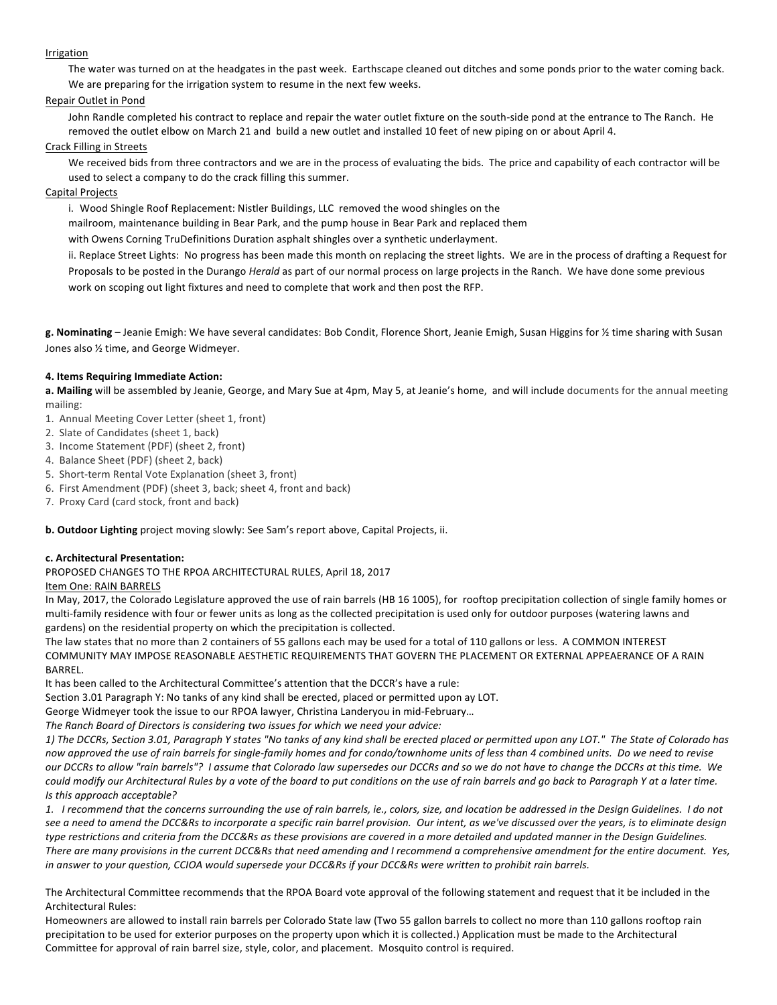#### Irrigation

The water was turned on at the headgates in the past week. Earthscape cleaned out ditches and some ponds prior to the water coming back. We are preparing for the irrigation system to resume in the next few weeks.

#### Repair Outlet in Pond

John Randle completed his contract to replace and repair the water outlet fixture on the south-side pond at the entrance to The Ranch. He removed the outlet elbow on March 21 and build a new outlet and installed 10 feet of new piping on or about April 4.

#### Crack Filling in Streets

We received bids from three contractors and we are in the process of evaluating the bids. The price and capability of each contractor will be used to select a company to do the crack filling this summer.

### Capital Projects

i. Wood Shingle Roof Replacement: Nistler Buildings, LLC removed the wood shingles on the

mailroom, maintenance building in Bear Park, and the pump house in Bear Park and replaced them

with Owens Corning TruDefinitions Duration asphalt shingles over a synthetic underlayment.

ii. Replace Street Lights: No progress has been made this month on replacing the street lights. We are in the process of drafting a Request for Proposals to be posted in the Durango *Herald* as part of our normal process on large projects in the Ranch. We have done some previous work on scoping out light fixtures and need to complete that work and then post the RFP.

g. Nominating - Jeanie Emigh: We have several candidates: Bob Condit, Florence Short, Jeanie Emigh, Susan Higgins for 1/2 time sharing with Susan Jones also  $\frac{1}{2}$  time, and George Widmeyer.

#### **4. Items Requiring Immediate Action:**

a. Mailing will be assembled by Jeanie, George, and Mary Sue at 4pm, May 5, at Jeanie's home, and will include documents for the annual meeting mailing:

1. Annual Meeting Cover Letter (sheet 1, front)

- 2. Slate of Candidates (sheet 1, back)
- 3. Income Statement (PDF) (sheet 2, front)
- 4. Balance Sheet (PDF) (sheet 2, back)
- 5. Short-term Rental Vote Explanation (sheet 3, front)
- 6. First Amendment (PDF) (sheet 3, back; sheet 4, front and back)
- 7. Proxy Card (card stock, front and back)

**b. Outdoor Lighting** project moving slowly: See Sam's report above, Capital Projects, ii.

#### **c. Architectural Presentation:**

PROPOSED CHANGES TO THE RPOA ARCHITECTURAL RULES, April 18, 2017

#### Item One: RAIN BARRELS

In May, 2017, the Colorado Legislature approved the use of rain barrels (HB 16 1005), for rooftop precipitation collection of single family homes or multi-family residence with four or fewer units as long as the collected precipitation is used only for outdoor purposes (watering lawns and gardens) on the residential property on which the precipitation is collected.

The law states that no more than 2 containers of 55 gallons each may be used for a total of 110 gallons or less. A COMMON INTEREST COMMUNITY MAY IMPOSE REASONABLE AESTHETIC REQUIREMENTS THAT GOVERN THE PLACEMENT OR EXTERNAL APPEAERANCE OF A RAIN BARREL.

It has been called to the Architectural Committee's attention that the DCCR's have a rule:

Section 3.01 Paragraph Y: No tanks of any kind shall be erected, placed or permitted upon ay LOT.

George Widmeyer took the issue to our RPOA lawyer, Christina Landeryou in mid-February...

The Ranch Board of Directors is considering two issues for which we need your advice:

1) The DCCRs, Section 3.01, Paragraph Y states "No tanks of any kind shall be erected placed or permitted upon any LOT." The State of Colorado has now approved the use of rain barrels for single-family homes and for condo/townhome units of less than 4 combined units. Do we need to revise *our* DCCRs to allow "rain barrels"? I assume that Colorado law supersedes our DCCRs and so we do not have to change the DCCRs at this time. We *could modify* our Architectural Rules by a vote of the board to put conditions on the use of rain barrels and go back to Paragraph Y at a later time. *Is this approach acceptable?* 

1. I recommend that the concerns surrounding the use of rain barrels, ie., colors, size, and location be addressed in the Design Guidelines. I do not see a need to amend the DCC&Rs to incorporate a specific rain barrel provision. Our intent, as we've discussed over the years, is to eliminate design type restrictions and criteria from the DCC&Rs as these provisions are covered in a more detailed and updated manner in the Design Guidelines. There are many provisions in the current DCC&Rs that need amending and I recommend a comprehensive amendment for the entire document. Yes, in answer to your question, CCIOA would supersede your DCC&Rs if your DCC&Rs were written to prohibit rain barrels.

The Architectural Committee recommends that the RPOA Board vote approval of the following statement and request that it be included in the Architectural Rules:

Homeowners are allowed to install rain barrels per Colorado State law (Two 55 gallon barrels to collect no more than 110 gallons rooftop rain precipitation to be used for exterior purposes on the property upon which it is collected.) Application must be made to the Architectural Committee for approval of rain barrel size, style, color, and placement. Mosquito control is required.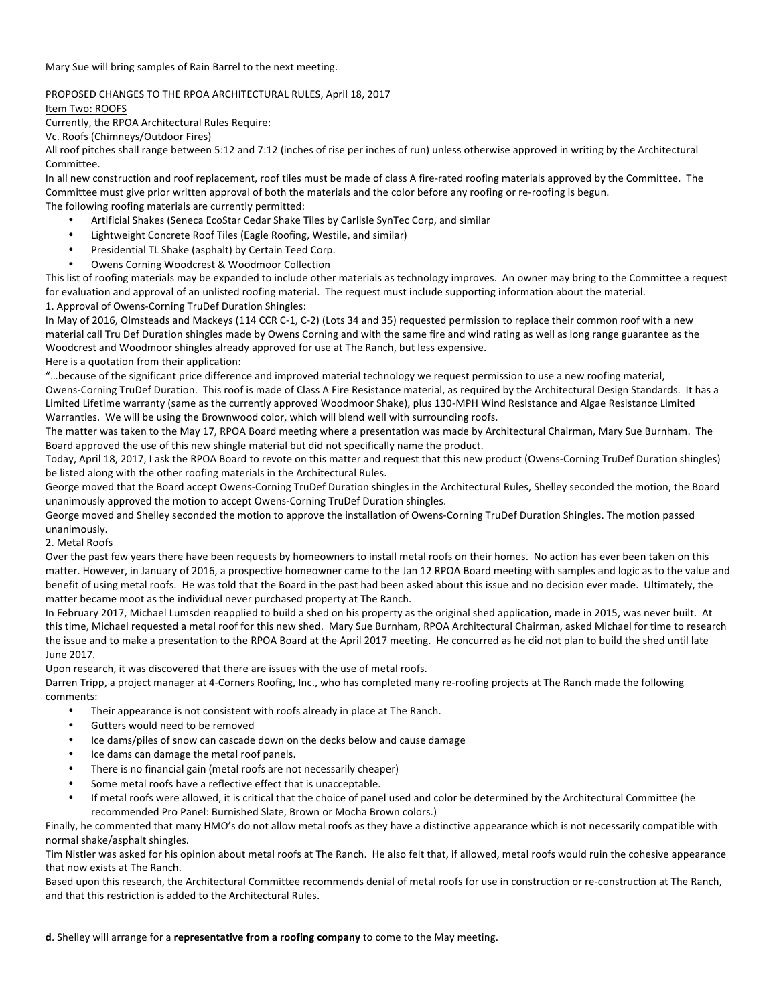Mary Sue will bring samples of Rain Barrel to the next meeting.

## PROPOSED CHANGES TO THE RPOA ARCHITECTURAL RULES, April 18, 2017

Item Two: ROOFS

Currently, the RPOA Architectural Rules Require:

Vc. Roofs (Chimneys/Outdoor Fires)

All roof pitches shall range between 5:12 and 7:12 (inches of rise per inches of run) unless otherwise approved in writing by the Architectural Committee.

In all new construction and roof replacement, roof tiles must be made of class A fire-rated roofing materials approved by the Committee. The Committee must give prior written approval of both the materials and the color before any roofing or re-roofing is begun. The following roofing materials are currently permitted:

- Artificial Shakes (Seneca EcoStar Cedar Shake Tiles by Carlisle SynTec Corp, and similar
- Lightweight Concrete Roof Tiles (Eagle Roofing, Westile, and similar)
- Presidential TL Shake (asphalt) by Certain Teed Corp.
- Owens Corning Woodcrest & Woodmoor Collection

This list of roofing materials may be expanded to include other materials as technology improves. An owner may bring to the Committee a request for evaluation and approval of an unlisted roofing material. The request must include supporting information about the material. 1. Approval of Owens-Corning TruDef Duration Shingles:

In May of 2016, Olmsteads and Mackeys (114 CCR C-1, C-2) (Lots 34 and 35) requested permission to replace their common roof with a new material call Tru Def Duration shingles made by Owens Corning and with the same fire and wind rating as well as long range guarantee as the Woodcrest and Woodmoor shingles already approved for use at The Ranch, but less expensive.

Here is a quotation from their application:

"...because of the significant price difference and improved material technology we request permission to use a new roofing material, Owens-Corning TruDef Duration. This roof is made of Class A Fire Resistance material, as required by the Architectural Design Standards. It has a Limited Lifetime warranty (same as the currently approved Woodmoor Shake), plus 130-MPH Wind Resistance and Algae Resistance Limited Warranties. We will be using the Brownwood color, which will blend well with surrounding roofs.

The matter was taken to the May 17, RPOA Board meeting where a presentation was made by Architectural Chairman, Mary Sue Burnham. The Board approved the use of this new shingle material but did not specifically name the product.

Today, April 18, 2017, I ask the RPOA Board to revote on this matter and request that this new product (Owens-Corning TruDef Duration shingles) be listed along with the other roofing materials in the Architectural Rules.

George moved that the Board accept Owens-Corning TruDef Duration shingles in the Architectural Rules, Shelley seconded the motion, the Board unanimously approved the motion to accept Owens-Corning TruDef Duration shingles.

George moved and Shelley seconded the motion to approve the installation of Owens-Corning TruDef Duration Shingles. The motion passed unanimously.

#### 2. Metal Roofs

Over the past few years there have been requests by homeowners to install metal roofs on their homes. No action has ever been taken on this matter. However, in January of 2016, a prospective homeowner came to the Jan 12 RPOA Board meeting with samples and logic as to the value and benefit of using metal roofs. He was told that the Board in the past had been asked about this issue and no decision ever made. Ultimately, the matter became moot as the individual never purchased property at The Ranch.

In February 2017, Michael Lumsden reapplied to build a shed on his property as the original shed application, made in 2015, was never built. At this time, Michael requested a metal roof for this new shed. Mary Sue Burnham, RPOA Architectural Chairman, asked Michael for time to research the issue and to make a presentation to the RPOA Board at the April 2017 meeting. He concurred as he did not plan to build the shed until late June 2017. 

Upon research, it was discovered that there are issues with the use of metal roofs.

Darren Tripp, a project manager at 4-Corners Roofing, Inc., who has completed many re-roofing projects at The Ranch made the following comments:

- Their appearance is not consistent with roofs already in place at The Ranch.
- Gutters would need to be removed
- Ice dams/piles of snow can cascade down on the decks below and cause damage
- Ice dams can damage the metal roof panels.
- There is no financial gain (metal roofs are not necessarily cheaper)
- Some metal roofs have a reflective effect that is unacceptable.
- If metal roofs were allowed, it is critical that the choice of panel used and color be determined by the Architectural Committee (he recommended Pro Panel: Burnished Slate, Brown or Mocha Brown colors.)

Finally, he commented that many HMO's do not allow metal roofs as they have a distinctive appearance which is not necessarily compatible with normal shake/asphalt shingles.

Tim Nistler was asked for his opinion about metal roofs at The Ranch. He also felt that, if allowed, metal roofs would ruin the cohesive appearance that now exists at The Ranch.

Based upon this research, the Architectural Committee recommends denial of metal roofs for use in construction or re-construction at The Ranch, and that this restriction is added to the Architectural Rules.

**d**. Shelley will arrange for a **representative from a roofing company** to come to the May meeting.